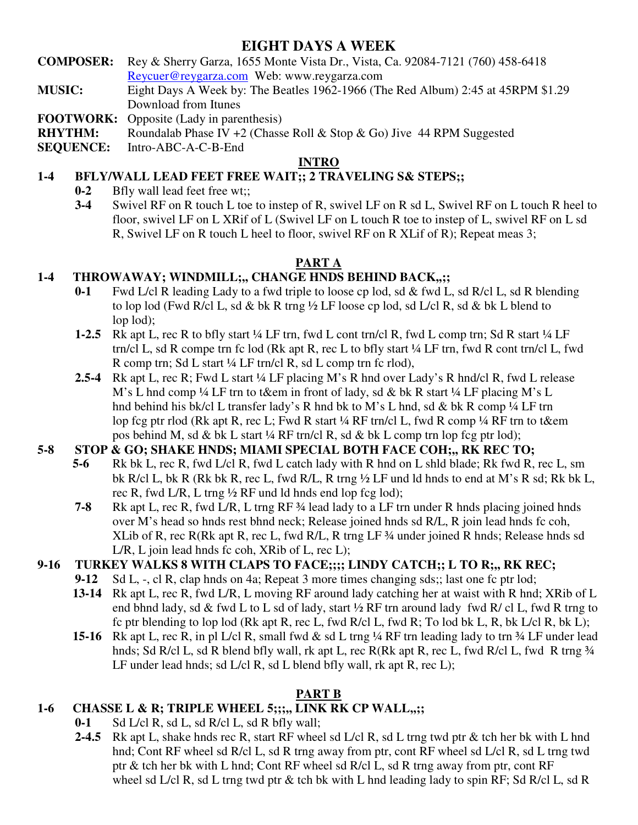# **EIGHT DAYS A WEEK**

- **COMPOSER:** Rey & Sherry Garza, 1655 Monte Vista Dr., Vista, Ca. 92084-7121 (760) 458-6418 Reycuer@reygarza.com Web: www.reygarza.com
- **MUSIC:** Eight Days A Week by: The Beatles 1962-1966 (The Red Album) 2:45 at 45RPM \$1.29 Download from Itunes

**FOOTWORK:** Opposite (Lady in parenthesis)

**RHYTHM:** Roundalab Phase IV +2 (Chasse Roll & Stop & Go) Jive 44 RPM Suggested

**SEQUENCE:** Intro-ABC-A-C-B-End

### **INTRO**

### **1-4 BFLY/WALL LEAD FEET FREE WAIT;; 2 TRAVELING S& STEPS;;**

- **0-2** Bfly wall lead feet free wt;;
- **3-4** Swivel RF on R touch L toe to instep of R, swivel LF on R sd L, Swivel RF on L touch R heel to floor, swivel LF on L XRif of L (Swivel LF on L touch R toe to instep of L, swivel RF on L sd R, Swivel LF on R touch L heel to floor, swivel RF on R XLif of R); Repeat meas 3;

### **PART A**

# **1-4 THROWAWAY; WINDMILL;,, CHANGE HNDS BEHIND BACK,,;;**

- **0-1** Fwd L/cl R leading Lady to a fwd triple to loose cp lod, sd & fwd L, sd R/cl L, sd R blending to lop lod (Fwd R/cl L, sd & bk R trng  $\frac{1}{2}$  LF loose cp lod, sd L/cl R, sd & bk L blend to lop lod);
- **1-2.5** Rk apt L, rec R to bfly start ¼ LF trn, fwd L cont trn/cl R, fwd L comp trn; Sd R start ¼ LF trn/cl L, sd R compe trn fc lod (Rk apt R, rec L to bfly start ¼ LF trn, fwd R cont trn/cl L, fwd R comp trn; Sd L start ¼ LF trn/cl R, sd L comp trn fc rlod),
- **2.5-4** Rk apt L, rec R; Fwd L start ¼ LF placing M's R hnd over Lady's R hnd/cl R, fwd L release M's L hnd comp ¼ LF trn to t&em in front of lady, sd & bk R start ¼ LF placing M's L hnd behind his bk/cl L transfer lady's R hnd bk to M's L hnd, sd & bk R comp ¼ LF trn lop fcg ptr rlod (Rk apt R, rec L; Fwd R start ¼ RF trn/cl L, fwd R comp ¼ RF trn to t&em pos behind M, sd & bk L start ¼ RF trn/cl R, sd & bk L comp trn lop fcg ptr lod);

# **5-8 STOP & GO; SHAKE HNDS; MIAMI SPECIAL BOTH FACE COH;,, RK REC TO;**

- **5-6** Rk bk L, rec R, fwd L/cl R, fwd L catch lady with R hnd on L shld blade; Rk fwd R, rec L, sm bk R/cl L, bk R (Rk bk R, rec L, fwd R/L, R trng ½ LF und ld hnds to end at M's R sd; Rk bk L, rec R, fwd L/R, L trng ½ RF und ld hnds end lop fcg lod);
- **7-8** Rk apt L, rec R, fwd L/R, L trng RF ¾ lead lady to a LF trn under R hnds placing joined hnds over M's head so hnds rest bhnd neck; Release joined hnds sd R/L, R join lead hnds fc coh, XLib of R, rec R(Rk apt R, rec L, fwd R/L, R trng LF ¾ under joined R hnds; Release hnds sd L/R, L join lead hnds fc coh, XRib of L, rec L);

# **9-16 TURKEY WALKS 8 WITH CLAPS TO FACE;;;; LINDY CATCH;; L TO R;,, RK REC;**

- **9-12** Sd L, -, cl R, clap hnds on 4a; Repeat 3 more times changing sds;; last one fc ptr lod;
- **13-14** Rk apt L, rec R, fwd L/R, L moving RF around lady catching her at waist with R hnd; XRib of L end bhnd lady, sd & fwd L to L sd of lady, start ½ RF trn around lady fwd R/ cl L, fwd R trng to fc ptr blending to lop lod (Rk apt R, rec L, fwd R/cl L, fwd R; To lod bk L, R, bk L/cl R, bk L);
- **15-16** Rk apt L, rec R, in pl L/cl R, small fwd & sd L trng ¼ RF trn leading lady to trn ¾ LF under lead hnds; Sd R/cl L, sd R blend bfly wall, rk apt L, rec R(Rk apt R, rec L, fwd R/cl L, fwd R trng ¾ LF under lead hnds; sd L/cl R, sd L blend bfly wall, rk apt R, rec L);

# **PART B**

# **1-6 CHASSE L & R; TRIPLE WHEEL 5;;;,, LINK RK CP WALL,,;;**

- **0-1** Sd L/cl R, sd L, sd R/cl L, sd R bfly wall;
- **2-4.5** Rk apt L, shake hnds rec R, start RF wheel sd L/cl R, sd L trng twd ptr & tch her bk with L hnd hnd; Cont RF wheel sd R/cl L, sd R trng away from ptr, cont RF wheel sd L/cl R, sd L trng twd ptr & tch her bk with L hnd; Cont RF wheel sd R/cl L, sd R trng away from ptr, cont RF wheel sd L/cl R, sd L trng twd ptr & tch bk with L hnd leading lady to spin RF; Sd R/cl L, sd R